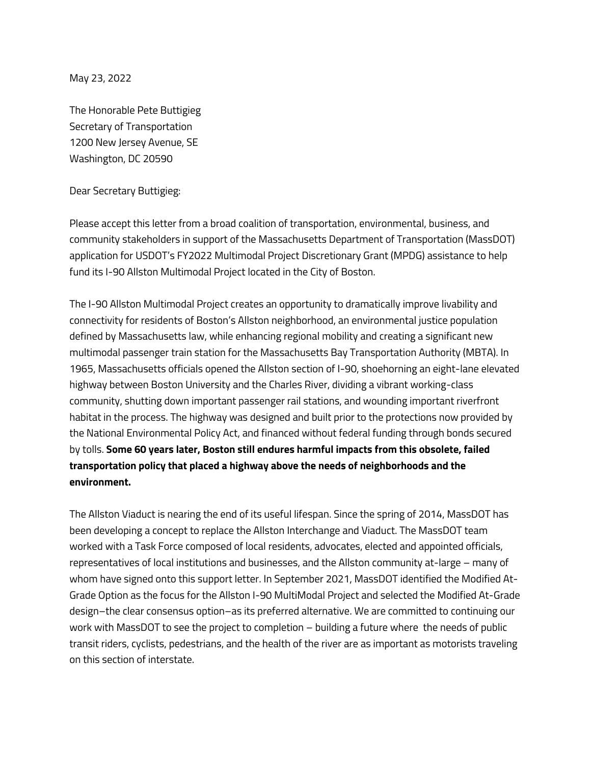May 23, 2022

The Honorable Pete Buttigieg Secretary of Transportation 1200 New Jersey Avenue, SE Washington, DC 20590

Dear Secretary Buttigieg:

Please accept this letter from a broad coalition of transportation, environmental, business, and community stakeholders in support of the Massachusetts Department of Transportation (MassDOT) application for USDOT's FY2022 Multimodal Project Discretionary Grant (MPDG) assistance to help fund its I-90 Allston Multimodal Project located in the City of Boston.

The I-90 Allston Multimodal Project creates an opportunity to dramatically improve livability and connectivity for residents of Boston's Allston neighborhood, an environmental justice population defined by Massachusetts law, while enhancing regional mobility and creating a significant new multimodal passenger train station for the Massachusetts Bay Transportation Authority (MBTA). In 1965, Massachusetts officials opened the Allston section of I-90, shoehorning an eight-lane elevated highway between Boston University and the Charles River, dividing a vibrant working-class community, shutting down important passenger rail stations, and wounding important riverfront habitat in the process. The highway was designed and built prior to the protections now provided by the National Environmental Policy Act, and financed without federal funding through bonds secured by tolls. **Some 60 years later, Boston still endures harmful impacts from this obsolete, failed transportation policy that placed a highway above the needs of neighborhoods and the environment.** 

The Allston Viaduct is nearing the end of its useful lifespan. Since the spring of 2014, MassDOT has been developing a concept to replace the Allston Interchange and Viaduct. The MassDOT team worked with a Task Force composed of local residents, advocates, elected and appointed officials, representatives of local institutions and businesses, and the Allston community at-large – many of whom have signed onto this support letter. In September 2021, MassDOT identified the Modified At-Grade Option as the focus for the Allston I-90 MultiModal Project and selected the Modified At-Grade design–the clear consensus option–as its preferred alternative. We are committed to continuing our work with MassDOT to see the project to completion – building a future where the needs of public transit riders, cyclists, pedestrians, and the health of the river are as important as motorists traveling on this section of interstate.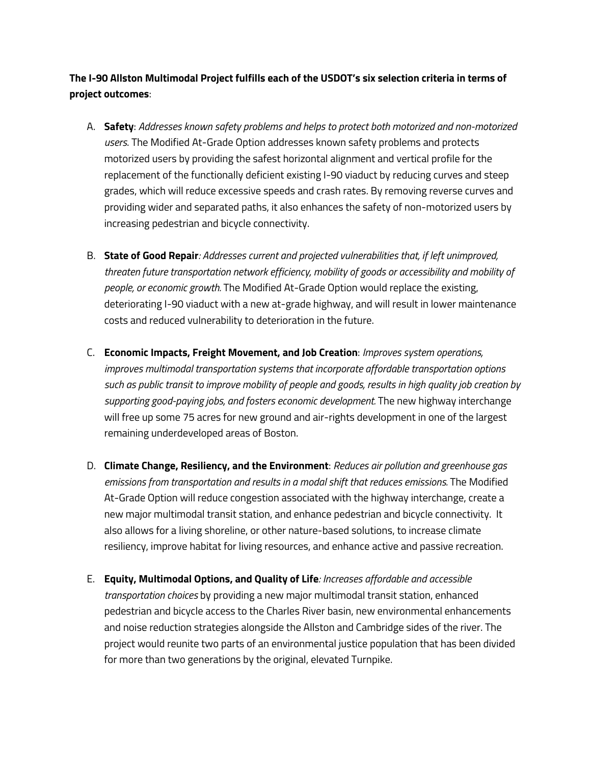**The I-90 Allston Multimodal Project fulfills each of the USDOT's six selection criteria in terms of project outcomes**:

- A. **Safety**: *Addresses known safety problems and helps to protect both motorized and non-motorized users*. The Modified At-Grade Option addresses known safety problems and protects motorized users by providing the safest horizontal alignment and vertical profile for the replacement of the functionally deficient existing I-90 viaduct by reducing curves and steep grades, which will reduce excessive speeds and crash rates. By removing reverse curves and providing wider and separated paths, it also enhances the safety of non-motorized users by increasing pedestrian and bicycle connectivity.
- B. **State of Good Repair***: Addresses current and projected vulnerabilities that, if left unimproved, threaten future transportation network efficiency, mobility of goods or accessibility and mobility of people, or economic growth.* The Modified At-Grade Option would replace the existing, deteriorating I-90 viaduct with a new at-grade highway, and will result in lower maintenance costs and reduced vulnerability to deterioration in the future.
- C. **Economic Impacts, Freight Movement, and Job Creation**: *Improves system operations, improves multimodal transportation systems that incorporate affordable transportation options such as public transit to improve mobility of people and goods, results in high quality job creation by supporting good-paying jobs, and fosters economic development.* The new highway interchange will free up some 75 acres for new ground and air-rights development in one of the largest remaining underdeveloped areas of Boston.
- D. **Climate Change, Resiliency, and the Environment**: *Reduces air pollution and greenhouse gas emissions from transportation and results in a modal shift that reduces emissions.* The Modified At-Grade Option will reduce congestion associated with the highway interchange, create a new major multimodal transit station, and enhance pedestrian and bicycle connectivity. It also allows for a living shoreline, or other nature-based solutions, to increase climate resiliency, improve habitat for living resources, and enhance active and passive recreation.
- E. **Equity, Multimodal Options, and Quality of Life***: Increases affordable and accessible transportation choices* by providing a new major multimodal transit station, enhanced pedestrian and bicycle access to the Charles River basin, new environmental enhancements and noise reduction strategies alongside the Allston and Cambridge sides of the river. The project would reunite two parts of an environmental justice population that has been divided for more than two generations by the original, elevated Turnpike.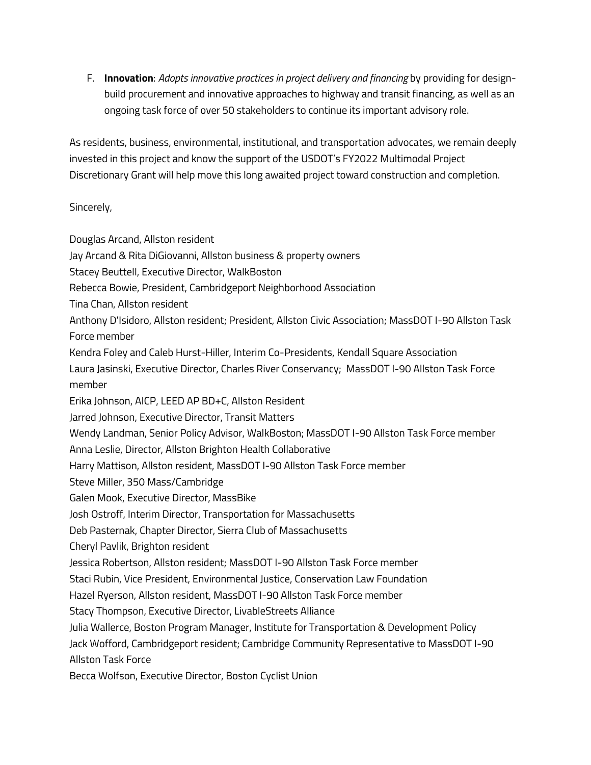F. **Innovation**: *Adopts innovative practices in project delivery and financing* by providing for designbuild procurement and innovative approaches to highway and transit financing, as well as an ongoing task force of over 50 stakeholders to continue its important advisory role.

As residents, business, environmental, institutional, and transportation advocates, we remain deeply invested in this project and know the support of the USDOT's FY2022 Multimodal Project Discretionary Grant will help move this long awaited project toward construction and completion.

## Sincerely,

Douglas Arcand, Allston resident

Jay Arcand & Rita DiGiovanni, Allston business & property owners

Stacey Beuttell, Executive Director, WalkBoston

- Rebecca Bowie, President, Cambridgeport Neighborhood Association
- Tina Chan, Allston resident

Anthony D'Isidoro, Allston resident; President, Allston Civic Association; MassDOT I-90 Allston Task Force member

Kendra Foley and Caleb Hurst-Hiller, Interim Co-Presidents, Kendall Square Association

Laura Jasinski, Executive Director, Charles River Conservancy; MassDOT I-90 Allston Task Force member

Erika Johnson, AICP, LEED AP BD+C, Allston Resident

Jarred Johnson, Executive Director, Transit Matters

Wendy Landman, Senior Policy Advisor, WalkBoston; MassDOT I-90 Allston Task Force member

Anna Leslie, Director, Allston Brighton Health Collaborative

Harry Mattison, Allston resident, MassDOT I-90 Allston Task Force member

Steve Miller, 350 Mass/Cambridge

Galen Mook, Executive Director, MassBike

Josh Ostroff, Interim Director, Transportation for Massachusetts

Deb Pasternak, Chapter Director, Sierra Club of Massachusetts

Cheryl Pavlik, Brighton resident

Jessica Robertson, Allston resident; MassDOT I-90 Allston Task Force member

Staci Rubin, Vice President, Environmental Justice, Conservation Law Foundation

Hazel Ryerson, Allston resident, MassDOT I-90 Allston Task Force member

Stacy Thompson, Executive Director, LivableStreets Alliance

Julia Wallerce, Boston Program Manager, Institute for Transportation & Development Policy

Jack Wofford, Cambridgeport resident; Cambridge Community Representative to MassDOT I-90

Allston Task Force

Becca Wolfson, Executive Director, Boston Cyclist Union